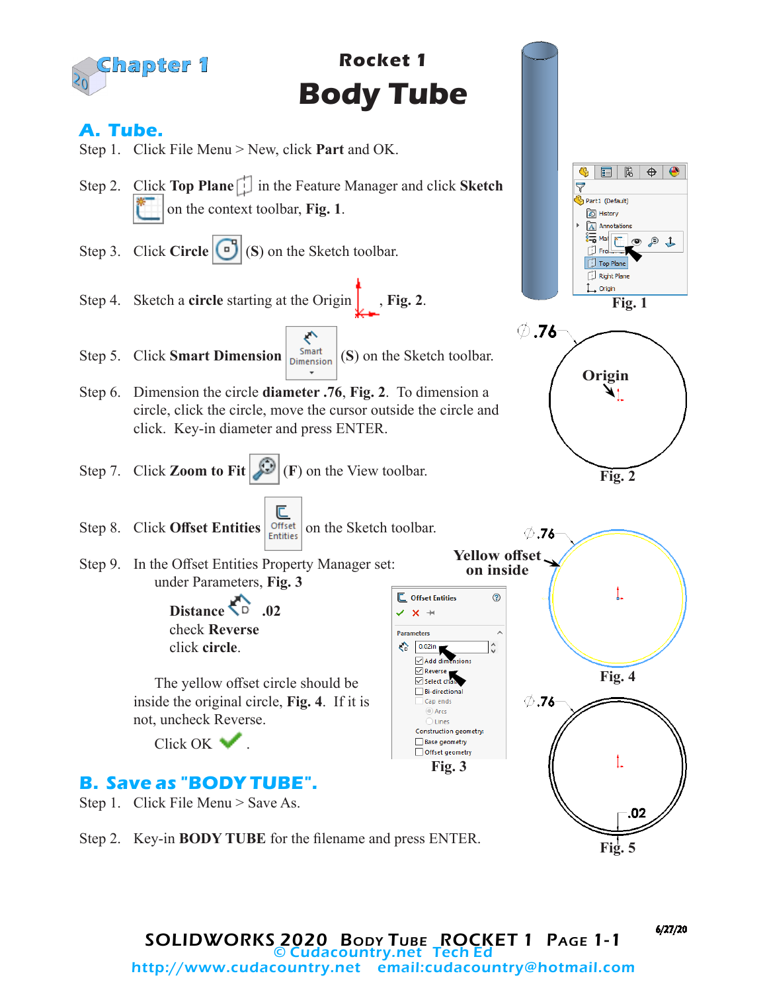

Step 2. Key-in **BODY TUBE** for the filename and press ENTER.

6/27/20

**Fig. 5**